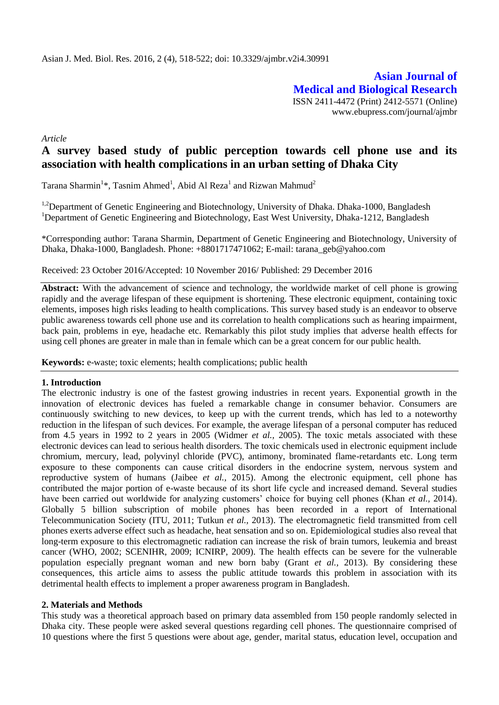**Asian Journal of Medical and Biological Research** ISSN 2411-4472 (Print) 2412-5571 (Online) www.ebupress.com/journal/ajmbr

*Article*

# **A survey based study of public perception towards cell phone use and its association with health complications in an urban setting of Dhaka City**

Tarana Sharmin<sup>1</sup>\*, Tasnim Ahmed<sup>1</sup>, Abid Al Reza<sup>1</sup> and Rizwan Mahmud<sup>2</sup>

<sup>1,2</sup>Department of Genetic Engineering and Biotechnology, University of Dhaka. Dhaka-1000, Bangladesh <sup>1</sup>Department of Genetic Engineering and Biotechnology, East West University, Dhaka-1212, Bangladesh

\*Corresponding author: Tarana Sharmin, Department of Genetic Engineering and Biotechnology, University of Dhaka, Dhaka-1000, Bangladesh. Phone: +8801717471062; E-mail: [tarana\\_geb@yahoo.com](mailto:tarana_geb@yahoo.com)

Received: 23 October 2016/Accepted: 10 November 2016/ Published: 29 December 2016

**Abstract:** With the advancement of science and technology, the worldwide market of cell phone is growing rapidly and the average lifespan of these equipment is shortening. These electronic equipment, containing toxic elements, imposes high risks leading to health complications. This survey based study is an endeavor to observe public awareness towards cell phone use and its correlation to health complications such as hearing impairment, back pain, problems in eye, headache etc. Remarkably this pilot study implies that adverse health effects for using cell phones are greater in male than in female which can be a great concern for our public health.

**Keywords:** e-waste; toxic elements; health complications; public health

### **1. Introduction**

The electronic industry is one of the fastest growing industries in recent years. Exponential growth in the innovation of electronic devices has fueled a remarkable change in consumer behavior. Consumers are continuously switching to new devices, to keep up with the current trends, which has led to a noteworthy reduction in the lifespan of such devices. For example, the average lifespan of a personal computer has reduced from 4.5 years in 1992 to 2 years in 2005 (Widmer *et al.,* 2005). The toxic metals associated with these electronic devices can lead to serious health disorders. The toxic chemicals used in electronic equipment include chromium, mercury, lead, polyvinyl chloride (PVC), antimony, brominated flame-retardants etc. Long term exposure to these components can cause critical disorders in the endocrine system, nervous system and reproductive system of humans (Jaibee *et al.,* 2015). Among the electronic equipment, cell phone has contributed the major portion of e-waste because of its short life cycle and increased demand. Several studies have been carried out worldwide for analyzing customers' choice for buying cell phones (Khan *et al.,* 2014). Globally 5 billion subscription of mobile phones has been recorded in a report of International Telecommunication Society (ITU, 2011; Tutkun *et al.,* 2013). The electromagnetic field transmitted from cell phones exerts adverse effect such as headache, heat sensation and so on. Epidemiological studies also reveal that long-term exposure to this electromagnetic radiation can increase the risk of brain tumors, leukemia and breast cancer (WHO, 2002; SCENIHR, 2009; ICNIRP, 2009). The health effects can be severe for the vulnerable population especially pregnant woman and new born baby (Grant *et al.,* 2013). By considering these consequences, this article aims to assess the public attitude towards this problem in association with its detrimental health effects to implement a proper awareness program in Bangladesh.

### **2. Materials and Methods**

This study was a theoretical approach based on primary data assembled from 150 people randomly selected in Dhaka city. These people were asked several questions regarding cell phones. The questionnaire comprised of 10 questions where the first 5 questions were about age, gender, marital status, education level, occupation and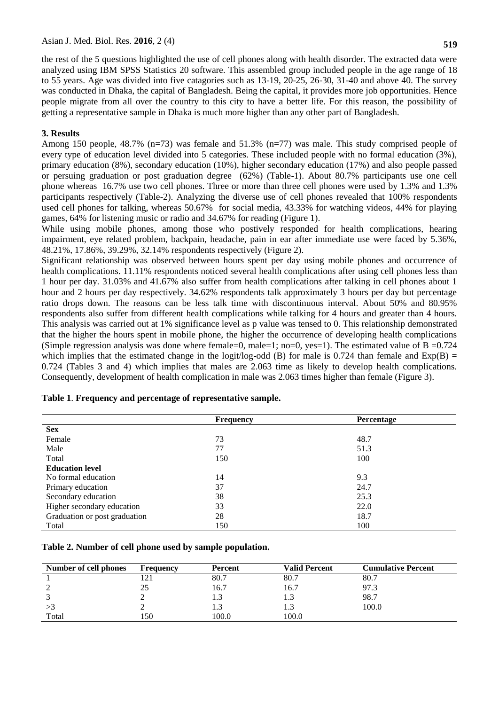the rest of the 5 questions highlighted the use of cell phones along with health disorder. The extracted data were analyzed using IBM SPSS Statistics 20 software. This assembled group included people in the age range of 18 to 55 years. Age was divided into five catagories such as 13-19, 20-25, 26-30, 31-40 and above 40. The survey was conducted in Dhaka, the capital of Bangladesh. Being the capital, it provides more job opportunities. Hence people migrate from all over the country to this city to have a better life. For this reason, the possibility of getting a representative sample in Dhaka is much more higher than any other part of Bangladesh.

# **3. Results**

Among 150 people, 48.7% (n=73) was female and 51.3% (n=77) was male. This study comprised people of every type of education level divided into 5 categories. These included people with no formal education (3%), primary education (8%), secondary education (10%), higher secondary education (17%) and also people passed or persuing graduation or post graduation degree (62%) (Table-1). About 80.7% participants use one cell phone whereas 16.7% use two cell phones. Three or more than three cell phones were used by 1.3% and 1.3% participants respectively (Table-2). Analyzing the diverse use of cell phones revealed that 100% respondents used cell phones for talking, whereas 50.67% for social media, 43.33% for watching videos, 44% for playing games, 64% for listening music or radio and 34.67% for reading (Figure 1).

While using mobile phones, among those who postively responded for health complications, hearing impairment, eye related problem, backpain, headache, pain in ear after immediate use were faced by 5.36%, 48.21%, 17.86%, 39.29%, 32.14% respondents respectively (Figure 2).

Significant relationship was observed between hours spent per day using mobile phones and occurrence of health complications. 11.11% respondents noticed several health complications after using cell phones less than 1 hour per day. 31.03% and 41.67% also suffer from health complications after talking in cell phones about 1 hour and 2 hours per day respectively. 34.62% respondents talk approximately 3 hours per day but percentage ratio drops down. The reasons can be less talk time with discontinuous interval. About 50% and 80.95% respondents also suffer from different health complications while talking for 4 hours and greater than 4 hours. This analysis was carried out at 1% significance level as p value was tensed to 0. This relationship demonstrated that the higher the hours spent in mobile phone, the higher the occurrence of developing health complications (Simple regression analysis was done where female=0, male=1; no=0, yes=1). The estimated value of  $B = 0.724$ which implies that the estimated change in the logit/log-odd (B) for male is 0.724 than female and  $Exp(B)$  = 0.724 (Tables 3 and 4) which implies that males are 2.063 time as likely to develop health complications. Consequently, development of health complication in male was 2.063 times higher than female (Figure 3).

|                               | <b>Frequency</b> | <b>Percentage</b> |  |
|-------------------------------|------------------|-------------------|--|
| <b>Sex</b>                    |                  |                   |  |
| Female                        | 73               | 48.7              |  |
| Male                          | 77               | 51.3              |  |
| Total                         | 150              | 100               |  |
| <b>Education level</b>        |                  |                   |  |
| No formal education           | 14               | 9.3               |  |
| Primary education             | 37               | 24.7              |  |
| Secondary education           | 38               | 25.3              |  |
| Higher secondary education    | 33               | 22.0              |  |
| Graduation or post graduation | 28               | 18.7              |  |
| Total                         | 150              | 100               |  |

### **Table 1**. **Frequency and percentage of representative sample.**

**Table 2. Number of cell phone used by sample population.** 

| Number of cell phones | <b>Frequency</b> | <b>Percent</b> | Valid Percent | <b>Cumulative Percent</b> |
|-----------------------|------------------|----------------|---------------|---------------------------|
|                       |                  | 80.7           | 80.7          | 80.7                      |
|                       | 25               | 16.7           | 16.7          | 97.3                      |
|                       |                  | ل. 1           | 1.3           | 98.7                      |
|                       |                  | ر. 1           |               | 100.0                     |
| Total                 | l 50             | 100.0          | 100.0         |                           |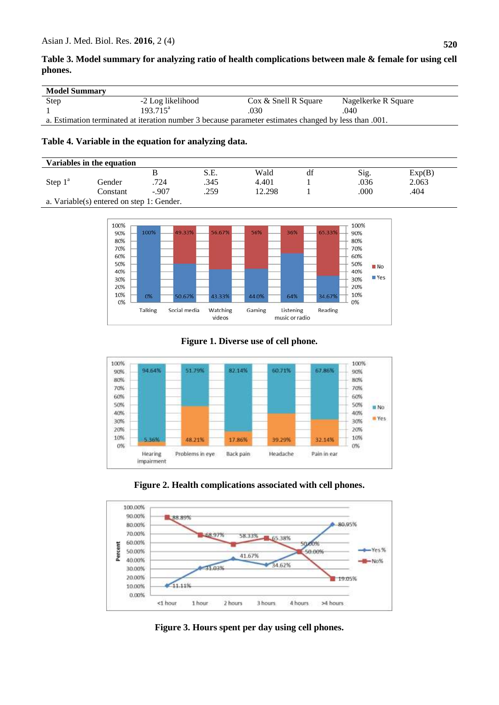# **Table 3. Model summary for analyzing ratio of health complications between male & female for using cell phones.**

| <b>Model Summary</b>                                                                                  |                   |                      |                     |  |
|-------------------------------------------------------------------------------------------------------|-------------------|----------------------|---------------------|--|
| Step                                                                                                  | -2 Log likelihood | Cox & Snell R Square | Nagelkerke R Square |  |
|                                                                                                       | $193.715^a$       | .030                 | 040                 |  |
| a. Estimation terminated at iteration number 3 because parameter estimates changed by less than .001. |                   |                      |                     |  |

## **Table 4. Variable in the equation for analyzing data.**

| Variables in the equation                 |          |         |      |        |    |      |        |  |
|-------------------------------------------|----------|---------|------|--------|----|------|--------|--|
|                                           |          |         | S.E. | Wald   | df | Sig. | Exp(B) |  |
| Step $1^{\circ}$                          | Gender   | .724    | .345 | 4.401  |    | .036 | 2.063  |  |
|                                           | Constant | $-.907$ | .259 | 12.298 |    | .000 | .404   |  |
| a. Variable(s) entered on step 1: Gender. |          |         |      |        |    |      |        |  |



**Figure 1. Diverse use of cell phone.**



**Figure 2. Health complications associated with cell phones.**



**Figure 3. Hours spent per day using cell phones.**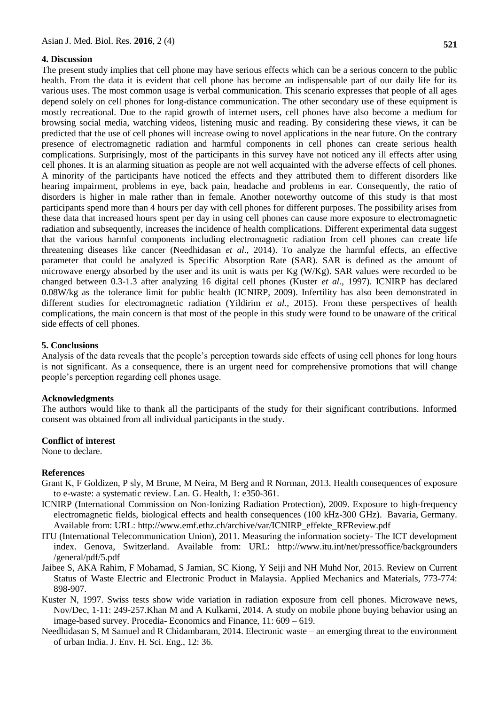#### **4. Discussion**

The present study implies that cell phone may have serious effects which can be a serious concern to the public health. From the data it is evident that cell phone has become an indispensable part of our daily life for its various uses. The most common usage is verbal communication. This scenario expresses that people of all ages depend solely on cell phones for long-distance communication. The other secondary use of these equipment is mostly recreational. Due to the rapid growth of internet users, cell phones have also become a medium for browsing social media, watching videos, listening music and reading. By considering these views, it can be predicted that the use of cell phones will increase owing to novel applications in the near future. On the contrary presence of electromagnetic radiation and harmful components in cell phones can create serious health complications. Surprisingly, most of the participants in this survey have not noticed any ill effects after using cell phones. It is an alarming situation as people are not well acquainted with the adverse effects of cell phones. A minority of the participants have noticed the effects and they attributed them to different disorders like hearing impairment, problems in eye, back pain, headache and problems in ear. Consequently, the ratio of disorders is higher in male rather than in female. Another noteworthy outcome of this study is that most participants spend more than 4 hours per day with cell phones for different purposes. The possibility arises from these data that increased hours spent per day in using cell phones can cause more exposure to electromagnetic radiation and subsequently, increases the incidence of health complications. Different experimental data suggest that the various harmful components including electromagnetic radiation from cell phones can create life threatening diseases like cancer (Needhidasan *et al*., 2014). To analyze the harmful effects, an effective parameter that could be analyzed is Specific Absorption Rate (SAR). SAR is defined as the amount of microwave energy absorbed by the user and its unit is watts per Kg (W/Kg). SAR values were recorded to be changed between 0.3-1.3 after analyzing 16 digital cell phones (Kuster *et al.,* 1997). ICNIRP has declared 0.08W/kg as the tolerance limit for public health (ICNIRP, 2009). Infertility has also been demonstrated in different studies for electromagnetic radiation (Yildirim *et al.,* 2015). From these perspectives of health complications, the main concern is that most of the people in this study were found to be unaware of the critical

### **5. Conclusions**

side effects of cell phones.

Analysis of the data reveals that the people's perception towards side effects of using cell phones for long hours is not significant. As a consequence, there is an urgent need for comprehensive promotions that will change people's perception regarding cell phones usage.

### **Acknowledgments**

The authors would like to thank all the participants of the study for their significant contributions. Informed consent was obtained from all individual participants in the study.

#### **Conflict of interest**

None to declare.

### **References**

- Grant K, F Goldizen, P sly, M Brune, M Neira, M Berg and R Norman, 2013. Health consequences of exposure to e-waste: a systematic review. Lan. G. Health, 1: e350-361.
- ICNIRP (International Commission on Non-Ionizing Radiation Protection), 2009. Exposure to high-frequency electromagnetic fields, biological effects and health consequences (100 kHz-300 GHz). Bavaria, Germany. Available from: URL: http://www.emf.ethz.ch/archive/var/ICNIRP\_effekte\_RFReview.pdf
- ITU (International Telecommunication Union), 2011. Measuring the information society- The ICT development index. Genova, Switzerland. Available from: URL: http://www.itu.int/net/pressoffice/backgrounders /general/pdf/5.pdf
- Jaibee S, AKA Rahim, F Mohamad, S Jamian, SC Kiong, Y Seiji and NH Muhd Nor, 2015. Review on Current Status of Waste Electric and Electronic Product in Malaysia. Applied Mechanics and Materials, 773-774: 898-907.
- Kuster N, 1997. Swiss tests show wide variation in radiation exposure from cell phones. Microwave news, Nov/Dec, 1-11: 249-257.Khan M and A Kulkarni, 2014. A study on mobile phone buying behavior using an image-based survey. Procedia- Economics and Finance, 11: 609 – 619.
- Needhidasan S, M Samuel and R Chidambaram, 2014. Electronic waste an emerging threat to the environment of urban India. J. Env. H. Sci. Eng., 12: 36.